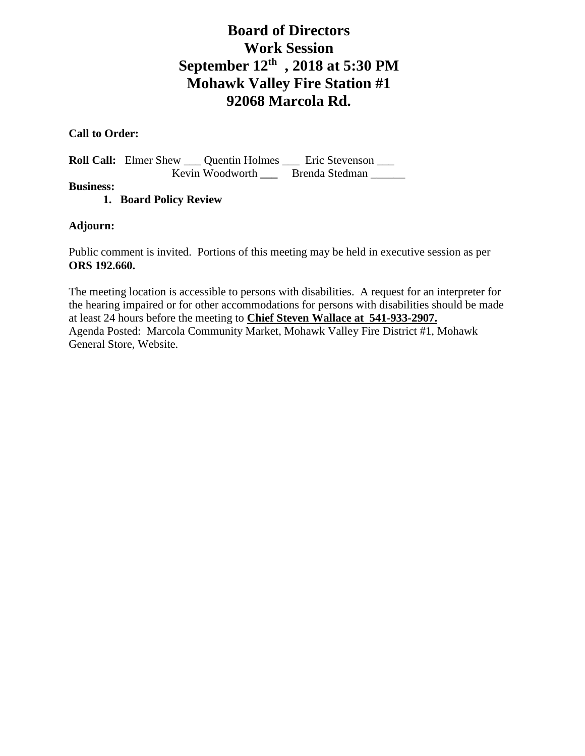# **Board of Directors Work Session September 12th , 2018 at 5:30 PM Mohawk Valley Fire Station #1 92068 Marcola Rd.**

## **Call to Order:**

**Roll Call:** Elmer Shew \_\_\_ Quentin Holmes \_\_\_ Eric Stevenson \_\_\_ Kevin Woodworth **\_\_\_** Brenda Stedman \_\_\_\_\_\_

**Business:**

**1. Board Policy Review** 

## **Adjourn:**

Public comment is invited. Portions of this meeting may be held in executive session as per **ORS 192.660.**

The meeting location is accessible to persons with disabilities. A request for an interpreter for the hearing impaired or for other accommodations for persons with disabilities should be made at least 24 hours before the meeting to **Chief Steven Wallace at 541-933-2907.** Agenda Posted: Marcola Community Market, Mohawk Valley Fire District #1, Mohawk General Store, Website.